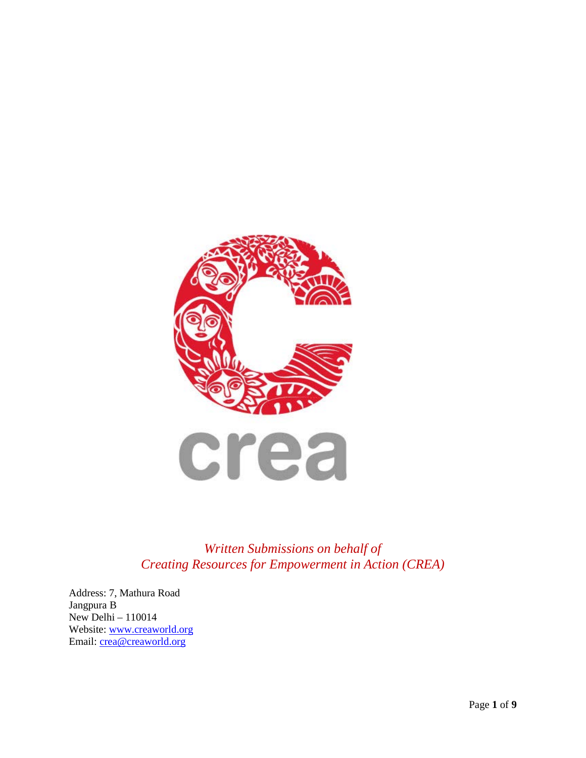

*Written Submissions on behalf of Creating Resources for Empowerment in Action (CREA)*

Address: 7, Mathura Road Jangpura B New Delhi – 110014 Website: [www.creaworld.org](http://www.creaworld.org/) Email: [crea@creaworld.org](mailto:crea@creaworld.org)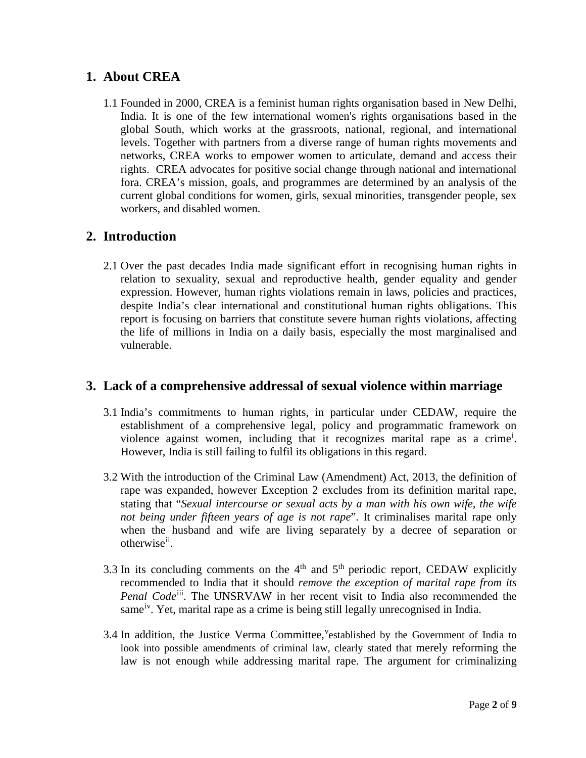# **1. About CREA**

1.1 Founded in 2000, CREA is a feminist human rights organisation based in New Delhi, India. It is one of the few international women's rights organisations based in the global South, which works at the grassroots, national, regional, and international levels. Together with partners from a diverse range of human rights movements and networks, CREA works to empower women to articulate, demand and access their rights. CREA advocates for positive social change through national and international fora. CREA's mission, goals, and programmes are determined by an analysis of the current global conditions for women, girls, sexual minorities, transgender people, sex workers, and disabled women.

# **2. Introduction**

2.1 Over the past decades India made significant effort in recognising human rights in relation to sexuality, sexual and reproductive health, gender equality and gender expression. However, human rights violations remain in laws, policies and practices, despite India's clear international and constitutional human rights obligations. This report is focusing on barriers that constitute severe human rights violations, affecting the life of millions in India on a daily basis, especially the most marginalised and vulnerable.

# **3. Lack of a comprehensive addressal of sexual violence within marriage**

- 3.1 India's commitments to human rights, in particular under CEDAW, require the establishment of a comprehensive legal, policy and programmatic framework on v[i](#page-7-0)olence against women, including that it recognizes marital rape as a crime<sup>i</sup>. However, India is still failing to fulfil its obligations in this regard.
- 3.2 With the introduction of the Criminal Law (Amendment) Act, 2013, the definition of rape was expanded, however Exception 2 excludes from its definition marital rape, stating that "*Sexual intercourse or sexual acts by a man with his own wife, the wife not being under fifteen years of age is not rape*". It criminalises marital rape only when the husband and wife are living separately by a decree of separation or otherwise<sup>[ii](#page-7-1)</sup>.
- 3.3 In its concluding comments on the  $4<sup>th</sup>$  and  $5<sup>th</sup>$  periodic report, CEDAW explicitly recommended to India that it should *remove the exception of marital rape from its Penal Code*[iii.](#page-7-2) The UNSRVAW in her recent visit to India also recommended the same<sup>iv</sup>. Yet, marital rape as a crime is being still legally unrecognised in India.
- 3.4 In addition, the Justice Verma Committee, established by the Go[v](#page-7-4)ernment of India to look into possible amendments of criminal law, clearly stated that merely reforming the law is not enough while addressing marital rape. The argument for criminalizing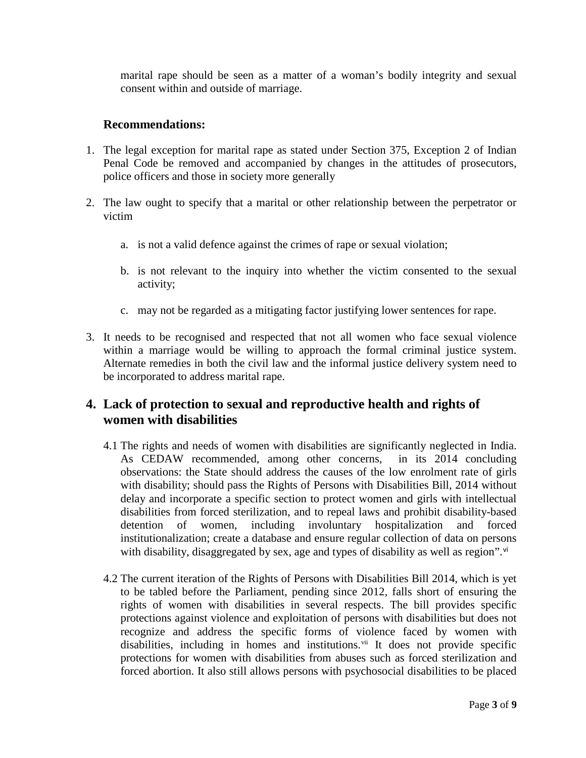marital rape should be seen as a matter of a woman's bodily integrity and sexual consent within and outside of marriage.

#### **Recommendations:**

- 1. The legal exception for marital rape as stated under Section 375, Exception 2 of Indian Penal Code be removed and accompanied by changes in the attitudes of prosecutors, police officers and those in society more generally
- 2. The law ought to specify that a marital or other relationship between the perpetrator or victim
	- a. is not a valid defence against the crimes of rape or sexual violation;
	- b. is not relevant to the inquiry into whether the victim consented to the sexual activity;
	- c. may not be regarded as a mitigating factor justifying lower sentences for rape.
- 3. It needs to be recognised and respected that not all women who face sexual violence within a marriage would be willing to approach the formal criminal justice system. Alternate remedies in both the civil law and the informal justice delivery system need to be incorporated to address marital rape.

# **4. Lack of protection to sexual and reproductive health and rights of women with disabilities**

- 4.1 The rights and needs of women with disabilities are significantly neglected in India. As CEDAW recommended, among other concerns, in its 2014 concluding observations: the State should address the causes of the low enrolment rate of girls with disability; should pass the Rights of Persons with Disabilities Bill, 2014 without delay and incorporate a specific section to protect women and girls with intellectual disabilities from forced sterilization, and to repeal laws and prohibit disability-based detention of women, including involuntary hospitalization and forced institutionalization; create a database and ensure regular collection of data on persons with disability, disaggregated by sex, age and types of disability as well as region".<sup>[vi](#page-7-5)</sup>
- 4.2 The current iteration of the Rights of Persons with Disabilities Bill 2014, which is yet to be tabled before the Parliament, pending since 2012, falls short of ensuring the rights of women with disabilities in several respects. The bill provides specific protections against violence and exploitation of persons with disabilities but does not recognize and address the specific forms of violence faced by women with disabilities, including in homes and institutions. $vii$  It does not provide specific protections for women with disabilities from abuses such as forced sterilization and forced abortion. It also still allows persons with psychosocial disabilities to be placed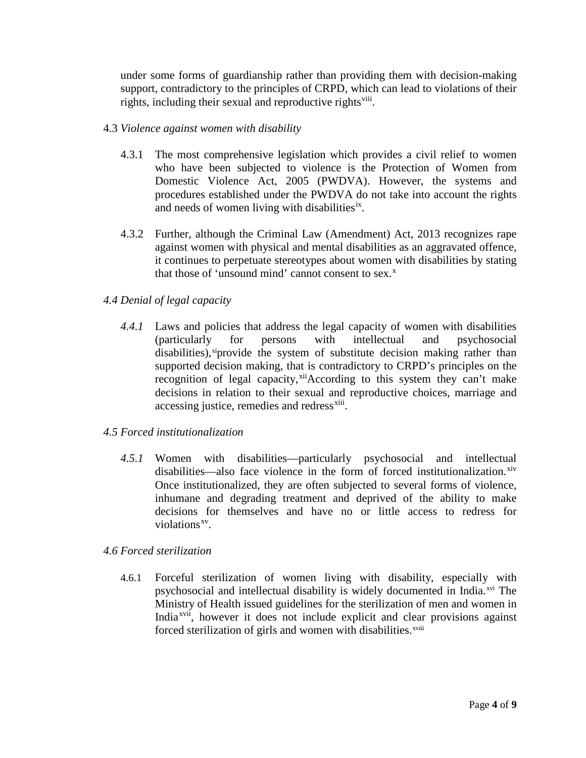under some forms of guardianship rather than providing them with decision-making support, contradictory to the principles of CRPD, which can lead to violations of their rights, including their sexual and reproductive rights<sup>viii</sup>.

#### 4.3 *Violence against women with disability*

- 4.3.1 The most comprehensive legislation which provides a civil relief to women who have been subjected to violence is the Protection of Women from Domestic Violence Act, 2005 (PWDVA). However, the systems and procedures established under the PWDVA do not take into account the rights and needs of women living with disabilities<sup>[ix](#page-7-8)</sup>.
- 4.3.2 Further, although the Criminal Law (Amendment) Act, 2013 recognizes rape against women with physical and mental disabilities as an aggravated offence, it continues to perpetuate stereotypes about women with disabilities by stating that those of 'unsound mind' cannot consent to se[x](#page-7-9).<sup>x</sup>

## *4.4 Denial of legal capacity*

*4.4.1* Laws and policies that address the legal capacity of women with disabilities (particularly for persons with intellectual and psychosocial disabilities), $x$ <sup>i</sup>provide the system of substitute decision making rather than supported decision making, that is contradictory to CRPD's principles on the recognition of legal capacity,<sup>[xii](#page-7-11)</sup>According to this system they can't make decisions in relation to their sexual and reproductive choices, marriage and accessing justice, remedies and redress<sup>[xiii](#page-7-12)</sup>.

## *4.5 Forced institutionalization*

*4.5.1* Women with disabilities—particularly psychosocial and intellectual disabilities—also face violence in the form of forced institutionalization.<sup>[xiv](#page-7-13)</sup> Once institutionalized, they are often subjected to several forms of violence, inhumane and degrading treatment and deprived of the ability to make decisions for themselves and have no or little access to redress for violations<sup>xv</sup>.

#### *4.6 Forced sterilization*

4.6.1 Forceful sterilization of women living with disability, especially with psychosocial and intellectual disability is widely documented in India.<sup>[xvi](#page-7-15)</sup> The forced ster[i](#page-7-17)lization of girls and women with disabilities.<sup>xviii</sup> Ministry of Health issued guidelines for the sterilization of men and women in India<sup>xvii</sup>, however it does not include explicit and clear provisions against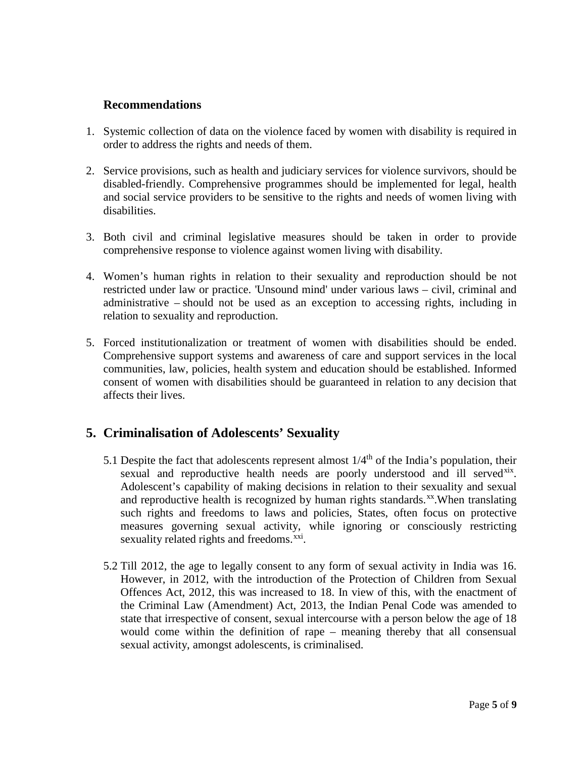## **Recommendations**

- 1. Systemic collection of data on the violence faced by women with disability is required in order to address the rights and needs of them.
- 2. Service provisions, such as health and judiciary services for violence survivors, should be disabled-friendly. Comprehensive programmes should be implemented for legal, health and social service providers to be sensitive to the rights and needs of women living with disabilities.
- 3. Both civil and criminal legislative measures should be taken in order to provide comprehensive response to violence against women living with disability.
- 4. Women's human rights in relation to their sexuality and reproduction should be not restricted under law or practice. 'Unsound mind' under various laws – civil, criminal and administrative – should not be used as an exception to accessing rights, including in relation to sexuality and reproduction.
- 5. Forced institutionalization or treatment of women with disabilities should be ended. Comprehensive support systems and awareness of care and support services in the local communities, law, policies, health system and education should be established. Informed consent of women with disabilities should be guaranteed in relation to any decision that affects their lives.

# **5. Criminalisation of Adolescents' Sexuality**

- 5.1 Despite the fact that adolescents represent almost  $1/4<sup>th</sup>$  of the India's population, their sexual and reproductive health needs are poorly understood and ill served<sup>xix</sup>. Adolescent's capability of making decisions in relation to their sexuality and sexual and reproductive health is recognized by human rights standards.<sup>xx</sup>. When translating such rights and freedoms to laws and policies, States, often focus on protective measures governing sexual activity, while ignoring or consciously restricting sexuality related rights and freedoms.<sup>xxi</sup>.
- 5.2 Till 2012, the age to legally consent to any form of sexual activity in India was 16. However, in 2012, with the introduction of the Protection of Children from Sexual Offences Act, 2012, this was increased to 18. In view of this, with the enactment of the Criminal Law (Amendment) Act, 2013, the Indian Penal Code was amended to state that irrespective of consent, sexual intercourse with a person below the age of 18 would come within the definition of rape – meaning thereby that all consensual sexual activity, amongst adolescents, is criminalised.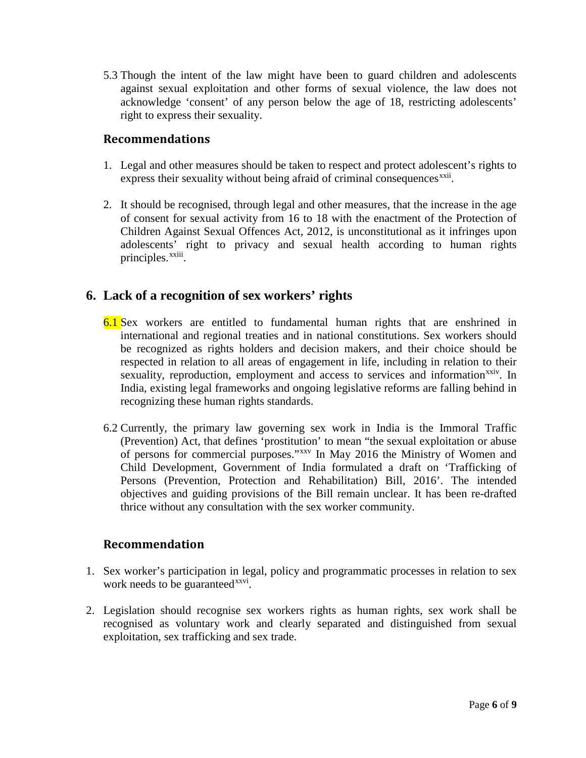5.3 Though the intent of the law might have been to guard children and adolescents against sexual exploitation and other forms of sexual violence, the law does not acknowledge 'consent' of any person below the age of 18, restricting adolescents' right to express their sexuality.

## **Recommendations**

- 1. Legal and other measures should be taken to respect and protect adolescent's rights to express their sexuality without being afraid of criminal consequences<sup>[xxii](#page-8-1)</sup>.
- 2. It should be recognised, through legal and other measures, that the increase in the age of consent for sexual activity from 16 to 18 with the enactment of the Protection of Children Against Sexual Offences Act, 2012, is unconstitutional as it infringes upon adolescents' right to privacy and sexual health according to human rights principles[.](#page-8-2)<sup>xxiii</sup>.

# **6. Lack of a recognition of sex workers' rights**

- 6.1 Sex workers are entitled to fundamental human rights that are enshrined in international and regional treaties and in national constitutions. Sex workers should be recognized as rights holders and decision makers, and their choice should be respected in relation to all areas of engagement in life, including in relation to their sexuality, reproduction, employment and access to services and information<sup>xxiv</sup>. In India, existing legal frameworks and ongoing legislative reforms are falling behind in recognizing these human rights standards.
- 6.2 Currently, the primary law governing sex work in India is the Immoral Traffic (Prevention) Act, that defines 'prostitution' to mean "the sexual exploitation or abuse of persons for commercial purposes."[xxv](#page-8-4) In May 2016 the Ministry of Women and Child Development, Government of India formulated a draft on 'Trafficking of Persons (Prevention, Protection and Rehabilitation) Bill, 2016'. The intended objectives and guiding provisions of the Bill remain unclear. It has been re-drafted thrice without any consultation with the sex worker community.

## **Recommendation**

- 1. Sex worker's participation in legal, policy and programmatic processes in relation to sex work needs to be guaranteed<sup>xxvi</sup>.
- 2. Legislation should recognise sex workers rights as human rights, sex work shall be recognised as voluntary work and clearly separated and distinguished from sexual exploitation, sex trafficking and sex trade.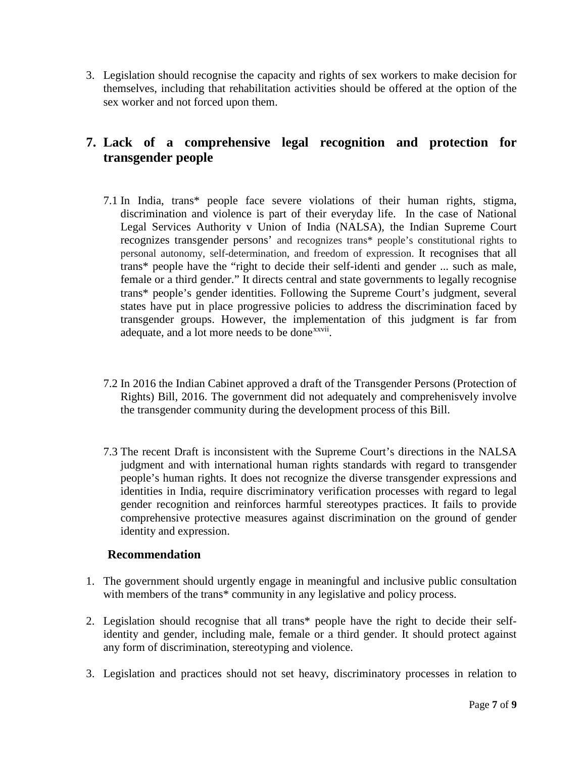3. Legislation should recognise the capacity and rights of sex workers to make decision for themselves, including that rehabilitation activities should be offered at the option of the sex worker and not forced upon them.

# **7. Lack of a comprehensive legal recognition and protection for transgender people**

- 7.1 In India, trans\* people face severe violations of their human rights, stigma, discrimination and violence is part of their everyday life. In the case of National Legal Services Authority v Union of India (NALSA), the Indian Supreme Court recognizes transgender persons' and recognizes trans\* people's constitutional rights to personal autonomy, self-determination, and freedom of expression. It recognises that all trans\* people have the "right to decide their self-identi and gender ... such as male, female or a third gender." It directs central and state governments to legally recognise trans\* people's gender identities. Following the Supreme Court's judgment, several states have put in place progressive policies to address the discrimination faced by transgender groups. However, the implementation of this judgment is far from adequate, and a lot more needs to be done<sup>xxvii</sup>[.](#page-8-6)
- 7.2 In 2016 the Indian Cabinet approved a draft of the Transgender Persons (Protection of Rights) Bill, 2016. The government did not adequately and comprehenisvely involve the transgender community during the development process of this Bill.
- 7.3 The recent Draft is inconsistent with the Supreme Court's directions in the NALSA judgment and with international human rights standards with regard to transgender people's human rights. It does not recognize the diverse transgender expressions and identities in India, require discriminatory verification processes with regard to legal gender recognition and reinforces harmful stereotypes practices. It fails to provide comprehensive protective measures against discrimination on the ground of gender identity and expression.

## **Recommendation**

- 1. The government should urgently engage in meaningful and inclusive public consultation with members of the trans\* community in any legislative and policy process.
- 2. Legislation should recognise that all trans\* people have the right to decide their selfidentity and gender, including male, female or a third gender. It should protect against any form of discrimination, stereotyping and violence.
- 3. Legislation and practices should not set heavy, discriminatory processes in relation to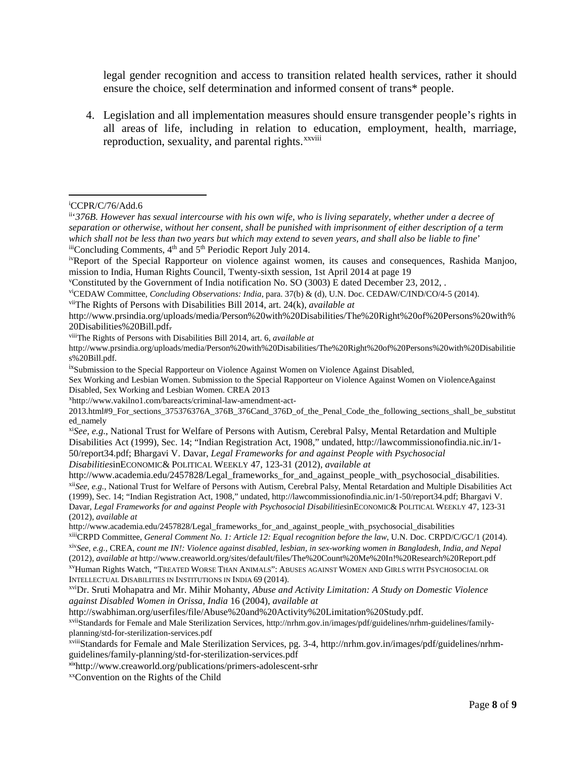legal gender recognition and access to transition related health services, rather it should ensure the choice, self determination and informed consent of trans\* people.

4. Legislation and all implementation measures should ensure transgender people's rights in all areas of life, including in relation to e[d](#page-8-7)ucation, employment, health, marriage, reproduction, sexuality, and parental rights.<sup>xxviii</sup>

<span id="page-7-7"></span>viiiThe Rights of Persons with Disabilities Bill 2014, art. 6, *available at* 

http://swabhiman.org/userfiles/file/Abuse%20and%20Activity%20Limitation%20Study.pdf.

<span id="page-7-16"></span>xviiStandards for Female and Male Sterilization Services, http://nrhm.gov.in/images/pdf/guidelines/nrhm-guidelines/familyplanning/std-for-sterilization-services.pdf

 $\overline{a}$ i CCPR/C/76/Add.6

<span id="page-7-1"></span><span id="page-7-0"></span>ii'*376B. However has sexual intercourse with his own wife, who is living separately, whether under a decree of separation or otherwise, without her consent, shall be punished with imprisonment of either description of a term which shall not be less than two years but which may extend to seven years, and shall also be liable to fine*'  $\frac{iii}{2014}$  Concluding Comments,  $4^{\text{th}}$  and  $5^{\text{th}}$  Periodic Report July 2014.

<span id="page-7-3"></span><span id="page-7-2"></span>ivReport of the Special Rapporteur on violence against women, its causes and consequences, Rashida Manjoo, mission to India, Human Rights Council, Twenty-sixth session, 1st April 2014 at page 19

<span id="page-7-4"></span>v Constituted by the Government of India notification No. SO (3003) E dated December 23, 2012, .

<span id="page-7-5"></span>viCEDAW Committee, *Concluding Observations: India*, para. 37(b) & (d), U.N. Doc. CEDAW/C/IND/CO/4-5 (2014).

<span id="page-7-6"></span>viiThe Rights of Persons with Disabilities Bill 2014, art. 24(k), *available at* 

http://www.prsindia.org/uploads/media/Person%20with%20Disabilities/The%20Right%20of%20Persons%20with% 20Disabilities%20Bill.pdf.

http://www.prsindia.org/uploads/media/Person%20with%20Disabilities/The%20Right%20of%20Persons%20with%20Disabilitie s%20Bill.pdf.

<span id="page-7-8"></span><sup>&</sup>lt;sup>ix</sup>Submission to the Special Rapporteur on Violence Against Women on Violence Against Disabled,

Sex Working and Lesbian Women. Submission to the Special Rapporteur on Violence Against Women on ViolenceAgainst Disabled, Sex Working and Lesbian Women. CREA 2013

<span id="page-7-9"></span>x http://www.vakilno1.com/bareacts/criminal-law-amendment-act-

<sup>2013.</sup>html#9\_For\_sections\_375376376A\_376B\_376Cand\_376D\_of\_the\_Penal\_Code\_the\_following\_sections\_shall\_be\_substitut ed\_namely

<span id="page-7-10"></span>xi*See, e.g.*, National Trust for Welfare of Persons with Autism, Cerebral Palsy, Mental Retardation and Multiple Disabilities Act (1999), Sec. 14; "Indian Registration Act, 1908," undated, http://lawcommissionofindia.nic.in/1- 50/report34.pdf; Bhargavi V. Davar, *Legal Frameworks for and against People with Psychosocial Disabilities*inECONOMIC& POLITICAL WEEKLY 47, 123-31 (2012), *available at* 

<span id="page-7-11"></span>http://www.academia.edu/2457828/Legal\_frameworks\_for\_and\_against\_people\_with\_psychosocial\_disabilities. xii*See, e.g.*, National Trust for Welfare of Persons with Autism, Cerebral Palsy, Mental Retardation and Multiple Disabilities Act (1999), Sec. 14; "Indian Registration Act, 1908," undated, http://lawcommissionofindia.nic.in/1-50/report34.pdf; Bhargavi V. Davar, *Legal Frameworks for and against People with Psychosocial Disabilities*inECONOMIC& POLITICAL WEEKLY 47, 123-31 (2012), *available at* 

http://www.academia.edu/2457828/Legal\_frameworks\_for\_and\_against\_people\_with\_psychosocial\_disabilities xiiiCRPD Committee, *General Comment No. 1: Article 12: Equal recognition before the law*, U.N. Doc. CRPD/C/GC/1 (2014).

<span id="page-7-13"></span><span id="page-7-12"></span>xiv*See, e.g.,* CREA, *count me IN!: Violence against disabled, lesbian, in sex-working women in Bangladesh, India, and Nepal* (2012), *available at* http://www.creaworld.org/sites/default/files/The%20Count%20Me%20In!%20Research%20Report.pdf xvHuman Rights Watch, "TREATED WORSE THAN ANIMALS": ABUSES AGAINST WOMEN AND GIRLS WITH PSYCHOSOCIAL OR

<span id="page-7-14"></span>INTELLECTUAL DISABILITIES IN INSTITUTIONS IN INDIA 69 (2014).

<span id="page-7-15"></span>xviDr. Sruti Mohapatra and Mr. Mihir Mohanty, *Abuse and Activity Limitation: A Study on Domestic Violence against Disabled Women in Orissa, India* 16 (2004), *available at*

<span id="page-7-17"></span>xviiiStandards for Female and Male Sterilization Services, pg. 3-4, http://nrhm.gov.in/images/pdf/guidelines/nrhmguidelines/family-planning/std-for-sterilization-services.pdf

<span id="page-7-18"></span>xixhttp://www.creaworld.org/publications/primers-adolescent-srhr

<span id="page-7-19"></span>xxConvention on the Rights of the Child